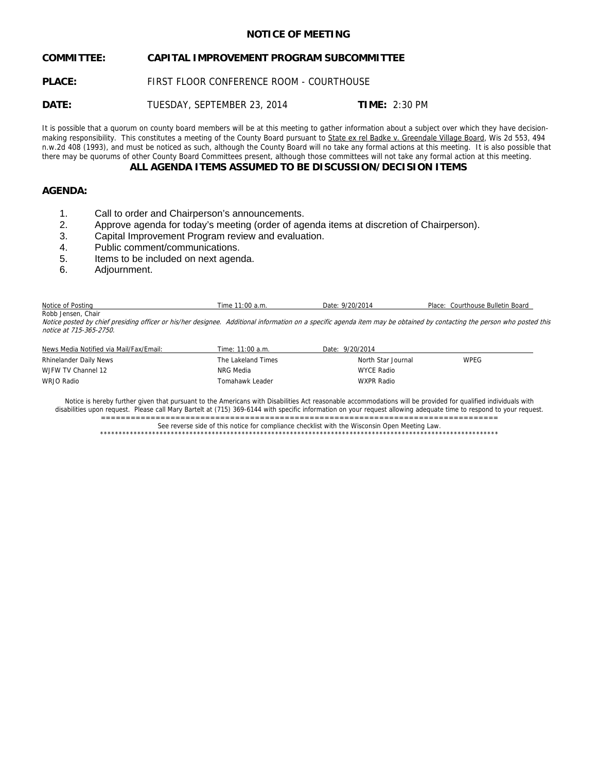# **NOTICE OF MEETING**

# **COMMITTEE: CAPITAL IMPROVEMENT PROGRAM SUBCOMMITTEE**

**PLACE:** FIRST FLOOR CONFERENCE ROOM - COURTHOUSE

**DATE:** TUESDAY, SEPTEMBER 23, 2014 **TIME:** 2:30 PM

It is possible that a quorum on county board members will be at this meeting to gather information about a subject over which they have decisionmaking responsibility. This constitutes a meeting of the County Board pursuant to State ex rel Badke v. Greendale Village Board, Wis 2d 553, 494 n.w.2d 408 (1993), and must be noticed as such, although the County Board will no take any formal actions at this meeting. It is also possible that there may be quorums of other County Board Committees present, although those committees will not take any formal action at this meeting.

## **ALL AGENDA ITEMS ASSUMED TO BE DISCUSSION/DECISION ITEMS**

# **AGENDA:**

- 1. Call to order and Chairperson's announcements.
- 2. Approve agenda for today's meeting (order of agenda items at discretion of Chairperson).
- 3. Capital Improvement Program review and evaluation.
- 4. Public comment/communications.
- 5. Items to be included on next agenda.
- 6. Adjournment.

| Notice                | 1:00    | Date   | ? Bulletin Board |
|-----------------------|---------|--------|------------------|
| Postinc               | l ime   | 9770   | Place:           |
| $\sim$                | ้า a.m. | $\sim$ | :ourthouse       |
| Robb Jensen.<br>Chair |         |        |                  |

Notice posted by chief presiding officer or his/her designee. Additional information on a specific agenda item may be obtained by contacting the person who posted this notice at 715-365-2750.

| News Media Notified via Mail/Fax/Email: | Time: 11:00 a.m.   | Date: 9/20/2014    |      |
|-----------------------------------------|--------------------|--------------------|------|
| Rhinelander Daily News                  | The Lakeland Times | North Star Journal | WPEG |
| WJFW TV Channel 12                      | NRG Media          | <b>WYCE Radio</b>  |      |
| WRJO Radio                              | Tomahawk Leader    | <b>WXPR Radio</b>  |      |

Notice is hereby further given that pursuant to the Americans with Disabilities Act reasonable accommodations will be provided for qualified individuals with disabilities upon request. Please call Mary Bartelt at (715) 369-6144 with specific information on your request allowing adequate time to respond to your request. ================================================================================

See reverse side of this notice for compliance checklist with the Wisconsin Open Meeting Law.

\*\*\*\*\*\*\*\*\*\*\*\*\*\*\*\*\*\*\*\*\*\*\*\*\*\*\*\*\*\*\*\*\*\*\*\*\*\*\*\*\*\*\*\*\*\*\*\*\*\*\*\*\*\*\*\*\*\*\*\*\*\*\*\*\*\*\*\*\*\*\*\*\*\*\*\*\*\*\*\*\*\*\*\*\*\*\*\*\*\*\*\*\*\*\*\*\*\*\*\*\*\*\*\*\*\*\*